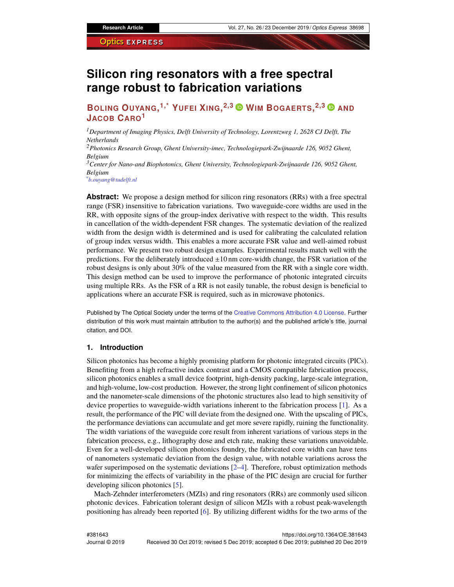# **Silicon ring resonators with a free spectral range robust to fabrication variations**

**BOLING OUYANG, 1,\* YUFEI XING, 2,3 WIM BOGAERTS, 2,3 AND JACOB CARO<sup>1</sup>**

*<sup>1</sup>Department of Imaging Physics, Delft University of Technology, Lorentzweg 1, 2628 CJ Delft, The Netherlands*

*<sup>2</sup>Photonics Research Group, Ghent University-imec, Technologiepark-Zwijnaarde 126, 9052 Ghent, Belgium*

*<sup>3</sup>Center for Nano-and Biophotonics, Ghent University, Technologiepark-Zwijnaarde 126, 9052 Ghent, Belgium*

*\*b.ouyang@tudelft.nl*

**Abstract:** We propose a design method for silicon ring resonators (RRs) with a free spectral range (FSR) insensitive to fabrication variations. Two waveguide-core widths are used in the RR, with opposite signs of the group-index derivative with respect to the width. This results in cancellation of the width-dependent FSR changes. The systematic deviation of the realized width from the design width is determined and is used for calibrating the calculated relation of group index versus width. This enables a more accurate FSR value and well-aimed robust performance. We present two robust design examples. Experimental results match well with the predictions. For the deliberately introduced  $\pm 10$  nm core-width change, the FSR variation of the robust designs is only about 30% of the value measured from the RR with a single core width. This design method can be used to improve the performance of photonic integrated circuits using multiple RRs. As the FSR of a RR is not easily tunable, the robust design is beneficial to applications where an accurate FSR is required, such as in microwave photonics.

Published by The Optical Society under the terms of the [Creative Commons Attribution 4.0 License.](http://creativecommons.org/licenses/by/4.0/) Further distribution of this work must maintain attribution to the author(s) and the published article's title, journal citation, and DOI.

## **1. Introduction**

Silicon photonics has become a highly promising platform for photonic integrated circuits (PICs). Benefiting from a high refractive index contrast and a CMOS compatible fabrication process, silicon photonics enables a small device footprint, high-density packing, large-scale integration, and high-volume, low-cost production. However, the strong light confinement of silicon photonics and the nanometer-scale dimensions of the photonic structures also lead to high sensitivity of device properties to waveguide-width variations inherent to the fabrication process [\[1\]](#page-8-0). As a result, the performance of the PIC will deviate from the designed one. With the upscaling of PICs, the performance deviations can accumulate and get more severe rapidly, ruining the functionality. The width variations of the waveguide core result from inherent variations of various steps in the fabrication process, e.g., lithography dose and etch rate, making these variations unavoidable. Even for a well-developed silicon photonics foundry, the fabricated core width can have tens of nanometers systematic deviation from the design value, with notable variations across the wafer superimposed on the systematic deviations  $[2-4]$  $[2-4]$ . Therefore, robust optimization methods for minimizing the effects of variability in the phase of the PIC design are crucial for further developing silicon photonics [\[5\]](#page-8-3).

Mach-Zehnder interferometers (MZIs) and ring resonators (RRs) are commonly used silicon photonic devices. Fabrication tolerant design of silicon MZIs with a robust peak-wavelength positioning has already been reported [\[6\]](#page-8-4). By utilizing different widths for the two arms of the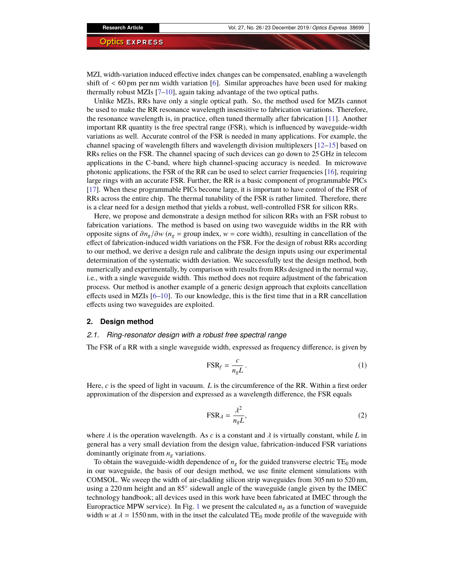MZI, width-variation induced effective index changes can be compensated, enabling a wavelength shift of  $\lt$  60 pm per nm width variation [\[6\]](#page-8-4). Similar approaches have been used for making thermally robust MZIs [\[7–](#page-8-5)[10\]](#page-8-6), again taking advantage of the two optical paths.

Unlike MZIs, RRs have only a single optical path. So, the method used for MZIs cannot be used to make the RR resonance wavelength insensitive to fabrication variations. Therefore, the resonance wavelength is, in practice, often tuned thermally after fabrication [\[11\]](#page-8-7). Another important RR quantity is the free spectral range (FSR), which is influenced by waveguide-width variations as well. Accurate control of the FSR is needed in many applications. For example, the channel spacing of wavelength filters and wavelength division multiplexers [\[12–](#page-8-8)[15\]](#page-9-0) based on RRs relies on the FSR. The channel spacing of such devices can go down to 25 GHz in telecom applications in the C-band, where high channel-spacing accuracy is needed. In microwave photonic applications, the FSR of the RR can be used to select carrier frequencies [\[16\]](#page-9-1), requiring large rings with an accurate FSR. Further, the RR is a basic component of programmable PICs [\[17\]](#page-9-2). When these programmable PICs become large, it is important to have control of the FSR of RRs across the entire chip. The thermal tunability of the FSR is rather limited. Therefore, there is a clear need for a design method that yields a robust, well-controlled FSR for silicon RRs.

Here, we propose and demonstrate a design method for silicon RRs with an FSR robust to fabrication variations. The method is based on using two waveguide widths in the RR with opposite signs of  $\partial n_g / \partial w$  ( $n_g$  = group index,  $w$  = core width), resulting in cancellation of the effect of fabrication-induced width variations on the FSR. For the design of robust RRs according to our method, we derive a design rule and calibrate the design inputs using our experimental determination of the systematic width deviation. We successfully test the design method, both numerically and experimentally, by comparison with results from RRs designed in the normal way, i.e., with a single waveguide width. This method does not require adjustment of the fabrication process. Our method is another example of a generic design approach that exploits cancellation effects used in MZIs [\[6](#page-8-4)[–10\]](#page-8-6). To our knowledge, this is the first time that in a RR cancellation effects using two waveguides are exploited.

# **2. Design method**

## *2.1. Ring-resonator design with a robust free spectral range*

The FSR of a RR with a single waveguide width, expressed as frequency difference, is given by

$$
\text{FSR}_f = \frac{c}{n_g L} \,. \tag{1}
$$

Here, *c* is the speed of light in vacuum. *L* is the circumference of the RR. Within a first order approximation of the dispersion and expressed as a wavelength difference, the FSR equals

$$
FSR_{\lambda} = \frac{\lambda^2}{n_g L},\tag{2}
$$

where  $\lambda$  is the operation wavelength. As *c* is a constant and  $\lambda$  is virtually constant, while *L* in general has a very small deviation from the design value, fabrication-induced FSR variations dominantly originate from *n<sup>g</sup>* variations.

To obtain the waveguide-width dependence of  $n<sub>g</sub>$  for the guided transverse electric TE<sub>0</sub> mode in our waveguide, the basis of our design method, we use finite element simulations with COMSOL. We sweep the width of air-cladding silicon strip waveguides from 305 nm to 520 nm, using a 220 nm height and an 85° sidewall angle of the waveguide (angle given by the IMEC technology handbook; all devices used in this work have been fabricated at IMEC through the Europractice MPW service). In Fig. [1](#page-2-0) we present the calculated  $n<sub>g</sub>$  as a function of waveguide width *w* at  $\lambda = 1550$  nm, with in the inset the calculated TE<sub>0</sub> mode profile of the waveguide with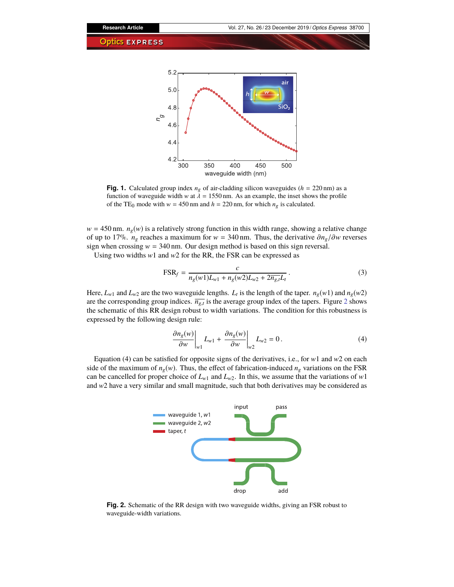

<span id="page-2-0"></span>**Fig. 1.** Calculated group index  $n_g$  of air-cladding silicon waveguides ( $h = 220 \text{ nm}$ ) as a function of waveguide width *w* at  $\lambda = 1550$  nm. As an example, the inset shows the profile of the TE<sub>0</sub> mode with  $w = 450$  nm and  $h = 220$  nm, for which  $n_g$  is calculated.

 $w = 450$  nm.  $n_g(w)$  is a relatively strong function in this width range, showing a relative change of up to 17%. *n<sub>g</sub>* reaches a maximum for  $w = 340$  nm. Thus, the derivative  $\partial n_g / \partial w$  reverses sign when crossing  $w = 340$  nm. Our design method is based on this sign reversal.

Using two widths *w*1 and *w*2 for the RR, the FSR can be expressed as

$$
FSR_f = \frac{c}{n_g(w1)L_{w1} + n_g(w2)L_{w2} + 2\overline{n_g L_t}}.
$$
\n(3)

Here,  $L_{w1}$  and  $L_{w2}$  are the two waveguide lengths.  $L_t$  is the length of the taper.  $n_g(w1)$  and  $n_g(w2)$ are the corresponding group indices.  $\overline{n_{g,t}}$  is the average group index of the tapers. Figure [2](#page-2-1) shows the schematic of this RR design robust to width variations. The condition for this robustness is expressed by the following design rule:

$$
\frac{\partial n_g(w)}{\partial w}\bigg|_{w1} L_{w1} + \frac{\partial n_g(w)}{\partial w}\bigg|_{w2} L_{w2} = 0.
$$
\n(4)

Equation (4) can be satisfied for opposite signs of the derivatives, i.e., for *w*1 and *w*2 on each side of the maximum of  $n_g(w)$ . Thus, the effect of fabrication-induced  $n_g$  variations on the FSR can be cancelled for proper choice of  $L_{w1}$  and  $L_{w2}$ . In this, we assume that the variations of *w*1 and *w*2 have a very similar and small magnitude, such that both derivatives may be considered as



<span id="page-2-1"></span>**Fig. 2.** Schematic of the RR design with two waveguide widths, giving an FSR robust to waveguide-width variations.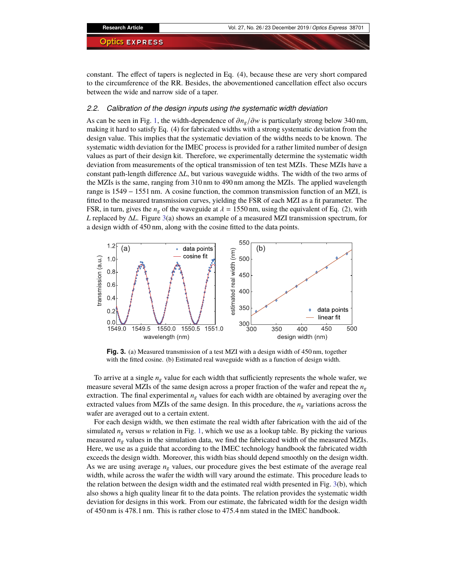constant. The effect of tapers is neglected in Eq. (4), because these are very short compared to the circumference of the RR. Besides, the abovementioned cancellation effect also occurs between the wide and narrow side of a taper.

## *2.2. Calibration of the design inputs using the systematic width deviation*

As can be seen in Fig. [1,](#page-2-0) the width-dependence of ∂*ng*/∂*<sup>w</sup>* is particularly strong below 340 nm, making it hard to satisfy Eq. (4) for fabricated widths with a strong systematic deviation from the design value. This implies that the systematic deviation of the widths needs to be known. The systematic width deviation for the IMEC process is provided for a rather limited number of design values as part of their design kit. Therefore, we experimentally determine the systematic width deviation from measurements of the optical transmission of ten test MZIs. These MZIs have a constant path-length difference ∆*L*, but various waveguide widths. The width of the two arms of the MZIs is the same, ranging from 310 nm to 490 nm among the MZIs. The applied wavelength range is 1549 − 1551 nm. A cosine function, the common transmission function of an MZI, is fitted to the measured transmission curves, yielding the FSR of each MZI as a fit parameter. The FSR, in turn, gives the  $n_g$  of the waveguide at  $\lambda = 1550$  nm, using the equivalent of Eq. (2), with *L* replaced by ∆*L*. Figure [3\(](#page-3-0)a) shows an example of a measured MZI transmission spectrum, for a design width of 450 nm, along with the cosine fitted to the data points.



<span id="page-3-0"></span>**Fig. 3.** (a) Measured transmission of a test MZI with a design width of 450 nm, together with the fitted cosine. (b) Estimated real waveguide width as a function of design width.

To arrive at a single  $n_g$  value for each width that sufficiently represents the whole wafer, we measure several MZIs of the same design across a proper fraction of the wafer and repeat the *n<sup>g</sup>* extraction. The final experimental  $n_g$  values for each width are obtained by averaging over the extracted values from MZIs of the same design. In this procedure, the *n<sup>g</sup>* variations across the wafer are averaged out to a certain extent.

For each design width, we then estimate the real width after fabrication with the aid of the simulated  $n_g$  versus *w* relation in Fig. [1,](#page-2-0) which we use as a lookup table. By picking the various measured  $n_g$  values in the simulation data, we find the fabricated width of the measured MZIs. Here, we use as a guide that according to the IMEC technology handbook the fabricated width exceeds the design width. Moreover, this width bias should depend smoothly on the design width. As we are using average *n<sup>g</sup>* values, our procedure gives the best estimate of the average real width, while across the wafer the width will vary around the estimate. This procedure leads to the relation between the design width and the estimated real width presented in Fig. [3\(](#page-3-0)b), which also shows a high quality linear fit to the data points. The relation provides the systematic width deviation for designs in this work. From our estimate, the fabricated width for the design width of 450 nm is 478.1 nm. This is rather close to 475.4 nm stated in the IMEC handbook.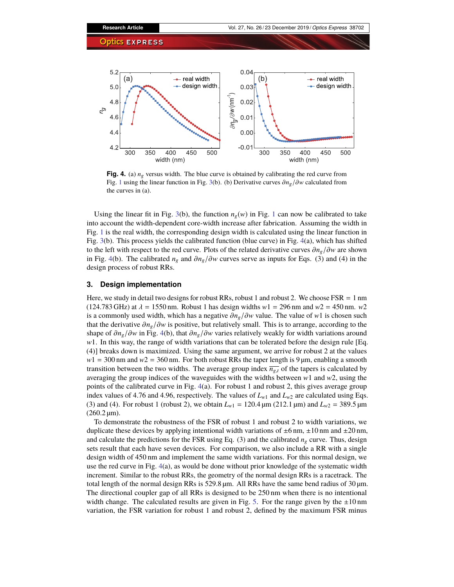

<span id="page-4-0"></span>**Fig. 4.** (a) *ng* versus width. The blue curve is obtained by calibrating the red curve from Fig. [1](#page-2-0) using the linear function in Fig. [3\(](#page-3-0)b). (b) Derivative curves ∂*ng*/∂*<sup>w</sup>* calculated from the curves in (a).

Using the linear fit in Fig. [3\(](#page-3-0)b), the function  $n_g(w)$  in Fig. [1](#page-2-0) can now be calibrated to take into account the width-dependent core-width increase after fabrication. Assuming the width in Fig. [1](#page-2-0) is the real width, the corresponding design width is calculated using the linear function in Fig. [3\(](#page-3-0)b). This process yields the calibrated function (blue curve) in Fig. [4\(](#page-4-0)a), which has shifted to the left with respect to the red curve. Plots of the related derivative curves ∂*ng*/∂*<sup>w</sup>* are shown in Fig. [4\(](#page-4-0)b). The calibrated *<sup>n</sup><sup>g</sup>* and <sup>∂</sup>*ng*/∂*<sup>w</sup>* curves serve as inputs for Eqs. (3) and (4) in the design process of robust RRs.

## **3. Design implementation**

Here, we study in detail two designs for robust RRs, robust 1 and robust 2. We choose  $FSR = 1$  nm  $(124.783 \text{ GHz})$  at  $\lambda = 1550 \text{ nm}$ . Robust 1 has design widths  $w1 = 296 \text{ nm}$  and  $w2 = 450 \text{ nm}$ .  $w2$ is a commonly used width, which has a negative ∂*ng*/∂*<sup>w</sup>* value. The value of *<sup>w</sup>*1 is chosen such that the derivative ∂*ng*/∂*<sup>w</sup>* is positive, but relatively small. This is to arrange, according to the shape of  $\partial n_g / \partial w$  in Fig. [4\(](#page-4-0)b), that  $\partial n_g / \partial w$  varies relatively weakly for width variations around *w*1. In this way, the range of width variations that can be tolerated before the design rule [Eq. (4)] breaks down is maximized. Using the same argument, we arrive for robust 2 at the values  $w1 = 300$  nm and  $w2 = 360$  nm. For both robust RRs the taper length is 9  $\mu$ m, enabling a smooth transition between the two widths. The average group index  $\overline{n_{g,t}}$  of the tapers is calculated by averaging the group indices of the waveguides with the widths between *w*1 and *w*2, using the points of the calibrated curve in Fig. [4\(](#page-4-0)a). For robust 1 and robust 2, this gives average group index values of 4.76 and 4.96, respectively. The values of  $L_{w1}$  and  $L_{w2}$  are calculated using Eqs. (3) and (4). For robust 1 (robust 2), we obtain  $L_{w1} = 120.4 \,\text{\mu m}$  (212.1  $\text{\mu m}$ ) and  $L_{w2} = 389.5 \,\text{\mu m}$  $(260.2 \,\text{µm})$ .

To demonstrate the robustness of the FSR of robust 1 and robust 2 to width variations, we duplicate these devices by applying intentional width variations of  $\pm 6$  nm,  $\pm 10$  nm and  $\pm 20$  nm, and calculate the predictions for the FSR using Eq. (3) and the calibrated  $n<sub>g</sub>$  curve. Thus, design sets result that each have seven devices. For comparison, we also include a RR with a single design width of 450 nm and implement the same width variations. For this normal design, we use the red curve in Fig. [4\(](#page-4-0)a), as would be done without prior knowledge of the systematic width increment. Similar to the robust RRs, the geometry of the normal design RRs is a racetrack. The total length of the normal design RRs is  $529.8 \,\text{\ensuremath{\mu}m}$ . All RRs have the same bend radius of  $30 \,\text{\ensuremath{\mu}m}$ . The directional coupler gap of all RRs is designed to be 250 nm when there is no intentional width change. The calculated results are given in Fig. [5.](#page-5-0) For the range given by the  $\pm 10 \text{ nm}$ variation, the FSR variation for robust 1 and robust 2, defined by the maximum FSR minus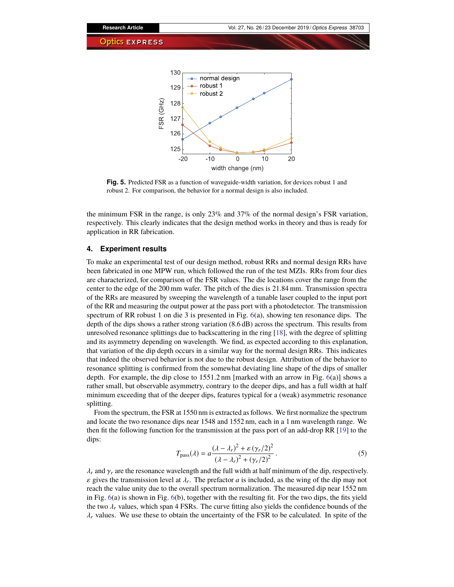

<span id="page-5-0"></span>**Fig. 5.** Predicted FSR as a function of waveguide-width variation, for devices robust 1 and robust 2. For comparison, the behavior for a normal design is also included.

the minimum FSR in the range, is only 23% and 37% of the normal design's FSR variation, respectively. This clearly indicates that the design method works in theory and thus is ready for application in RR fabrication.

## <span id="page-5-1"></span>**4. Experiment results**

To make an experimental test of our design method, robust RRs and normal design RRs have been fabricated in one MPW run, which followed the run of the test MZIs. RRs from four dies are characterized, for comparison of the FSR values. The die locations cover the range from the center to the edge of the 200 mm wafer. The pitch of the dies is 21.84 mm. Transmission spectra of the RRs are measured by sweeping the wavelength of a tunable laser coupled to the input port of the RR and measuring the output power at the pass port with a photodetector. The transmission spectrum of RR robust 1 on die 3 is presented in Fig. [6\(](#page-6-0)a), showing ten resonance dips. The depth of the dips shows a rather strong variation (8.6 dB) across the spectrum. This results from unresolved resonance splittings due to backscattering in the ring [\[18\]](#page-9-3), with the degree of splitting and its asymmetry depending on wavelength. We find, as expected according to this explanation, that variation of the dip depth occurs in a similar way for the normal design RRs. This indicates that indeed the observed behavior is not due to the robust design. Attribution of the behavior to resonance splitting is confirmed from the somewhat deviating line shape of the dips of smaller depth. For example, the dip close to  $1551.2$  nm [marked with an arrow in Fig.  $6(a)$  $6(a)$ ] shows a rather small, but observable asymmetry, contrary to the deeper dips, and has a full width at half minimum exceeding that of the deeper dips, features typical for a (weak) asymmetric resonance splitting.

From the spectrum, the FSR at 1550 nm is extracted as follows. We first normalize the spectrum and locate the two resonance dips near 1548 and 1552 nm, each in a 1 nm wavelength range. We then fit the following function for the transmission at the pass port of an add-drop RR [\[19\]](#page-9-4) to the dips:

$$
T_{\text{pass}}(\lambda) = a \frac{(\lambda - \lambda_r)^2 + \varepsilon (\gamma_r/2)^2}{(\lambda - \lambda_r)^2 + (\gamma_r/2)^2}.
$$
\n(5)

 $\lambda_r$  and  $\gamma_r$  are the resonance wavelength and the full width at half minimum of the dip, respectively.  $\varepsilon$  gives the transmission level at  $\lambda_r$ . The prefactor *a* is included, as the wing of the dip may not reach the value unity due to the overall spectrum pormalization. The measured dip pear 1552 nm reach the value unity due to the overall spectrum normalization. The measured dip near 1552 nm in Fig. [6\(](#page-6-0)a) is shown in Fig. [6\(](#page-6-0)b), together with the resulting fit. For the two dips, the fits yield the two  $\lambda_r$  values, which span 4 FSRs. The curve fitting also yields the confidence bounds of the  $\lambda_r$  values. We use these to obtain the uncertainty of the FSR to be calculated. In spite of the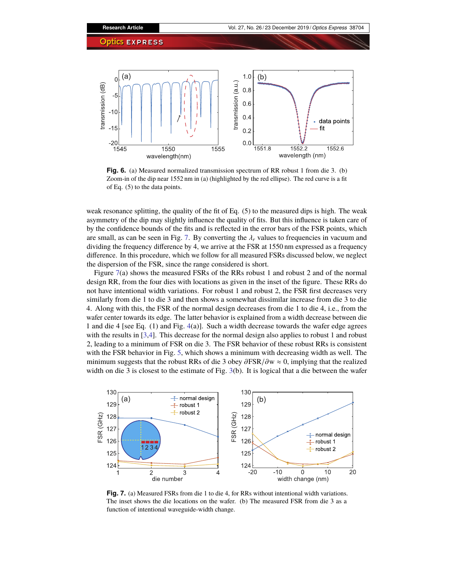

<span id="page-6-0"></span>**Fig. 6.** (a) Measured normalized transmission spectrum of RR robust 1 from die 3. (b) Zoom-in of the dip near 1552 nm in (a) (highlighted by the red ellipse). The red curve is a fit of Eq. (5) to the data points.

weak resonance splitting, the quality of the fit of Eq. (5) to the measured dips is high. The weak asymmetry of the dip may slightly influence the quality of fits. But this influence is taken care of by the confidence bounds of the fits and is reflected in the error bars of the FSR points, which are small, as can be seen in Fig. [7.](#page-6-1) By converting the  $\lambda_r$  values to frequencies in vacuum and dividing the frequency difference by 4, we arrive at the FSR at 1550 nm expressed as a frequency difference. In this procedure, which we follow for all measured FSRs discussed below, we neglect the dispersion of the FSR, since the range considered is short.

Figure [7\(](#page-6-1)a) shows the measured FSRs of the RRs robust 1 and robust 2 and of the normal design RR, from the four dies with locations as given in the inset of the figure. These RRs do not have intentional width variations. For robust 1 and robust 2, the FSR first decreases very similarly from die 1 to die 3 and then shows a somewhat dissimilar increase from die 3 to die 4. Along with this, the FSR of the normal design decreases from die 1 to die 4, i.e., from the wafer center towards its edge. The latter behavior is explained from a width decrease between die 1 and die 4 [see Eq. (1) and Fig. [4\(](#page-4-0)a)]. Such a width decrease towards the wafer edge agrees with the results in [\[3](#page-8-9)[,4\]](#page-8-2). This decrease for the normal design also applies to robust 1 and robust 2, leading to a minimum of FSR on die 3. The FSR behavior of these robust RRs is consistent with the FSR behavior in Fig. [5,](#page-5-0) which shows a minimum with decreasing width as well. The minimum suggests that the robust RRs of die 3 obey  $\frac{\partial FSR}{\partial w} \approx 0$ , implying that the realized width on die 3 is closest to the estimate of Fig. [3\(](#page-3-0)b). It is logical that a die between the wafer



<span id="page-6-1"></span>**Fig. 7.** (a) Measured FSRs from die 1 to die 4, for RRs without intentional width variations. The inset shows the die locations on the wafer. (b) The measured FSR from die 3 as a function of intentional waveguide-width change.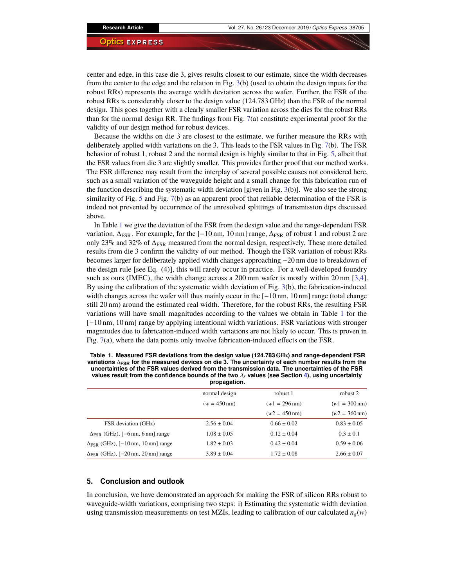center and edge, in this case die 3, gives results closest to our estimate, since the width decreases from the center to the edge and the relation in Fig. [3\(](#page-3-0)b) (used to obtain the design inputs for the robust RRs) represents the average width deviation across the wafer. Further, the FSR of the robust RRs is considerably closer to the design value (124.783 GHz) than the FSR of the normal design. This goes together with a clearly smaller FSR variation across the dies for the robust RRs than for the normal design RR. The findings from Fig. [7\(](#page-6-1)a) constitute experimental proof for the validity of our design method for robust devices.

Because the widths on die 3 are closest to the estimate, we further measure the RRs with deliberately applied width variations on die 3. This leads to the FSR values in Fig. [7\(](#page-6-1)b). The FSR behavior of robust 1, robust 2 and the normal design is highly similar to that in Fig. [5,](#page-5-0) albeit that the FSR values from die 3 are slightly smaller. This provides further proof that our method works. The FSR difference may result from the interplay of several possible causes not considered here, such as a small variation of the waveguide height and a small change for this fabrication run of the function describing the systematic width deviation [given in Fig. [3\(](#page-3-0)b)]. We also see the strong similarity of Fig. [5](#page-5-0) and Fig. [7\(](#page-6-1)b) as an apparent proof that reliable determination of the FSR is indeed not prevented by occurrence of the unresolved splittings of transmission dips discussed above.

In Table [1](#page-7-0) we give the deviation of the FSR from the design value and the range-dependent FSR variation,  $\Delta_{FSR}$ . For example, for the [−10 nm, 10 nm] range,  $\Delta_{FSR}$  of robust 1 and robust 2 are only 23% and 32% of ∆FSR measured from the normal design, respectively. These more detailed results from die 3 confirm the validity of our method. Though the FSR variation of robust RRs becomes larger for deliberately applied width changes approaching −20 nm due to breakdown of the design rule [see Eq. (4)], this will rarely occur in practice. For a well-developed foundry such as ours (IMEC), the width change across a 200 mm wafer is mostly within 20 nm [\[3,](#page-8-9)[4\]](#page-8-2). By using the calibration of the systematic width deviation of Fig. [3\(](#page-3-0)b), the fabrication-induced width changes across the wafer will thus mainly occur in the [−10 nm, 10 nm] range (total change still 20 nm) around the estimated real width. Therefore, for the robust RRs, the resulting FSR variations will have small magnitudes according to the values we obtain in Table [1](#page-7-0) for the [−10 nm, 10 nm] range by applying intentional width variations. FSR variations with stronger magnitudes due to fabrication-induced width variations are not likely to occur. This is proven in Fig. [7\(](#page-6-1)a), where the data points only involve fabrication-induced effects on the FSR.

| propaganom.                                 |                        |                         |                         |
|---------------------------------------------|------------------------|-------------------------|-------------------------|
|                                             | normal design          | robust 1                | robust 2                |
|                                             | $(w = 450 \text{ nm})$ | $(w1 = 296 \text{ nm})$ | $(w1 = 300 \text{ nm})$ |
|                                             |                        | $(w2 = 450 \text{ nm})$ | $(w2 = 360 \text{ nm})$ |
| <b>FSR</b> deviation (GHz)                  | $2.56 \pm 0.04$        | $0.66 \pm 0.02$         | $0.83 \pm 0.05$         |
| $\Delta_{FSR}$ (GHz), [-6 nm, 6 nm] range   | $1.08 \pm 0.05$        | $0.12 \pm 0.04$         | $0.3 \pm 0.1$           |
| $\Delta_{FSR}$ (GHz), [-10 nm, 10 nm] range | $1.82 \pm 0.03$        | $0.42 \pm 0.04$         | $0.59 \pm 0.06$         |
| $\Delta_{FSR}$ (GHz), [-20 nm, 20 nm] range | $3.89 \pm 0.04$        | $1.72 \pm 0.08$         | $2.66 \pm 0.07$         |

<span id="page-7-0"></span>**Table 1. Measured FSR deviations from the design value (124.783 GHz) and range-dependent FSR variations** ∆**FSR for the measured devices on die 3. The uncertainty of each number results from the uncertainties of the FSR values derived from the transmission data. The uncertainties of the FSR values result from the confidence bounds of the two** <sup>λ</sup>*<sup>r</sup>* **values (see Section [4\)](#page-5-1), using uncertainty propagation.**

# **5. Conclusion and outlook**

In conclusion, we have demonstrated an approach for making the FSR of silicon RRs robust to waveguide-width variations, comprising two steps: i) Estimating the systematic width deviation using transmission measurements on test MZIs, leading to calibration of our calculated  $n_g(w)$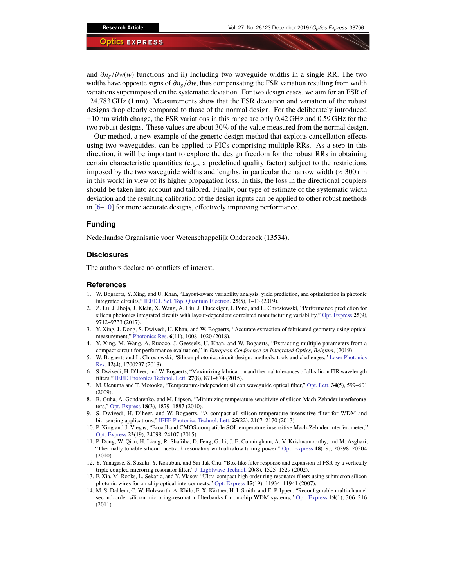and  $\partial n_g/\partial w(w)$  functions and ii) Including two waveguide widths in a single RR. The two widths have opposite signs of  $\partial n_g/\partial w$ , thus compensating the FSR variation resulting from width variations superimposed on the systematic deviation. For two design cases, we aim for an FSR of 124.783 GHz (1 nm). Measurements show that the FSR deviation and variation of the robust designs drop clearly compared to those of the normal design. For the deliberately introduced ±10 nm width change, the FSR variations in this range are only 0.42 GHz and 0.59 GHz for the two robust designs. These values are about 30% of the value measured from the normal design.

Our method, a new example of the generic design method that exploits cancellation effects using two waveguides, can be applied to PICs comprising multiple RRs. As a step in this direction, it will be important to explore the design freedom for the robust RRs in obtaining certain characteristic quantities (e.g., a predefined quality factor) subject to the restrictions imposed by the two waveguide widths and lengths, in particular the narrow width ( $\approx 300 \text{ nm}$ ) in this work) in view of its higher propagation loss. In this, the loss in the directional couplers should be taken into account and tailored. Finally, our type of estimate of the systematic width deviation and the resulting calibration of the design inputs can be applied to other robust methods in [\[6–](#page-8-4)[10\]](#page-8-6) for more accurate designs, effectively improving performance.

## **Funding**

Nederlandse Organisatie voor Wetenschappelijk Onderzoek (13534).

## **Disclosures**

The authors declare no conflicts of interest.

#### **References**

- <span id="page-8-0"></span>1. W. Bogaerts, Y. Xing, and U. Khan, "Layout-aware variability analysis, yield prediction, and optimization in photonic integrated circuits," [IEEE J. Sel. Top. Quantum Electron.](https://doi.org/10.1109/JSTQE.2019.2906271) **25**(5), 1–13 (2019).
- <span id="page-8-1"></span>2. Z. Lu, J. Jhoja, J. Klein, X. Wang, A. Liu, J. Flueckiger, J. Pond, and L. Chrostowski, "Performance prediction for silicon photonics integrated circuits with layout-dependent correlated manufacturing variability," [Opt. Express](https://doi.org/10.1364/OE.25.009712) **25**(9), 9712–9733 (2017).
- <span id="page-8-9"></span>3. Y. Xing, J. Dong, S. Dwivedi, U. Khan, and W. Bogaerts, "Accurate extraction of fabricated geometry using optical measurement," [Photonics Res.](https://doi.org/10.1364/PRJ.6.001008) **6**(11), 1008–1020 (2018).
- <span id="page-8-2"></span>4. Y. Xing, M. Wang, A. Ruocco, J. Geessels, U. Khan, and W. Bogaerts, "Extracting multiple parameters from a compact circuit for performance evaluation," in *European Conference on Integrated Optics, Belgium*, (2019).
- <span id="page-8-3"></span>5. W. Bogaerts and L. Chrostowski, "Silicon photonics circuit design: methods, tools and challenges," [Laser Photonics](https://doi.org/10.1002/lpor.201700237) [Rev.](https://doi.org/10.1002/lpor.201700237) **12**(4), 1700237 (2018).
- <span id="page-8-4"></span>6. S. Dwivedi, H. D'heer, and W. Bogaerts, "Maximizing fabrication and thermal tolerances of all-silicon FIR wavelength filters," [IEEE Photonics Technol. Lett.](https://doi.org/10.1109/LPT.2015.2398464) **27**(8), 871–874 (2015).
- <span id="page-8-5"></span>7. M. Uenuma and T. Motooka, "Temperature-independent silicon waveguide optical filter," [Opt. Lett.](https://doi.org/10.1364/OL.34.000599) **34**(5), 599–601 (2009).
- 8. B. Guha, A. Gondarenko, and M. Lipson, "Minimizing temperature sensitivity of silicon Mach-Zehnder interferometers," [Opt. Express](https://doi.org/10.1364/OE.18.001879) **18**(3), 1879–1887 (2010).
- 9. S. Dwivedi, H. D'heer, and W. Bogaerts, "A compact all-silicon temperature insensitive filter for WDM and bio-sensing applications," [IEEE Photonics Technol. Lett.](https://doi.org/10.1109/LPT.2013.2282715) **25**(22), 2167–2170 (2013).
- <span id="page-8-6"></span>10. P. Xing and J. Viegas, "Broadband CMOS-compatible SOI temperature insensitive Mach-Zehnder interferometer," [Opt. Express](https://doi.org/10.1364/OE.23.024098) **23**(19), 24098–24107 (2015).
- <span id="page-8-7"></span>11. P. Dong, W. Qian, H. Liang, R. Shafiiha, D. Feng, G. Li, J. E. Cunningham, A. V. Krishnamoorthy, and M. Asghari, "Thermally tunable silicon racetrack resonators with ultralow tuning power," [Opt. Express](https://doi.org/10.1364/OE.18.020298) **18**(19), 20298–20304 (2010).
- <span id="page-8-8"></span>12. Y. Yanagase, S. Suzuki, Y. Kokubun, and Sai Tak Chu, "Box-like filter response and expansion of FSR by a vertically triple coupled microring resonator filter," [J. Lightwave Technol.](https://doi.org/10.1109/JLT.2002.800296) **20**(8), 1525–1529 (2002).
- 13. F. Xia, M. Rooks, L. Sekaric, and Y. Vlasov, "Ultra-compact high order ring resonator filters using submicron silicon photonic wires for on-chip optical interconnects," [Opt. Express](https://doi.org/10.1364/OE.15.011934) **15**(19), 11934–11941 (2007).
- 14. M. S. Dahlem, C. W. Holzwarth, A. Khilo, F. X. Kärtner, H. I. Smith, and E. P. Ippen, "Reconfigurable multi-channel second-order silicon microring-resonator filterbanks for on-chip WDM systems," [Opt. Express](https://doi.org/10.1364/OE.19.000306) **19**(1), 306–316 (2011).